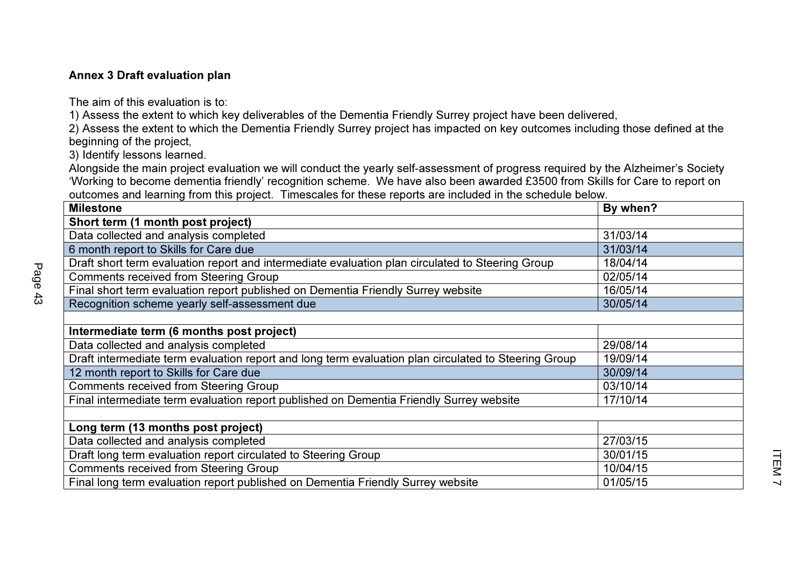## Annex 3 Draft evaluation plan

The aim of this evaluation is to:

1) Assess the extent to which key deliverables of the Dementia Friendly Surrey project have been delivered,

 2) Assess the extent to which the Dementia Friendly Surrey project has impacted on key outcomes including those defined at the beginning of the project,

3) Identify lessons learned.

 Alongside the main project evaluation we will conduct the yearly self-assessment of progress required by the Alzheimer's Society 'Working to become dementia friendly' recognition scheme. We have also been awarded £3500 from Skills for Care to report on outcomes and learning from this project. Timescales for these reports are included in the schedule below.

| <b>Milestone</b>                                                                                     | By when? |
|------------------------------------------------------------------------------------------------------|----------|
| Short term (1 month post project)                                                                    |          |
| Data collected and analysis completed                                                                | 31/03/14 |
| 6 month report to Skills for Care due                                                                | 31/03/14 |
| Draft short term evaluation report and intermediate evaluation plan circulated to Steering Group     | 18/04/14 |
| <b>Comments received from Steering Group</b>                                                         | 02/05/14 |
| Final short term evaluation report published on Dementia Friendly Surrey website                     | 16/05/14 |
| Recognition scheme yearly self-assessment due                                                        | 30/05/14 |
|                                                                                                      |          |
| Intermediate term (6 months post project)                                                            |          |
| Data collected and analysis completed                                                                | 29/08/14 |
| Draft intermediate term evaluation report and long term evaluation plan circulated to Steering Group | 19/09/14 |
| 12 month report to Skills for Care due                                                               | 30/09/14 |
| <b>Comments received from Steering Group</b>                                                         | 03/10/14 |
| Final intermediate term evaluation report published on Dementia Friendly Surrey website              | 17/10/14 |
|                                                                                                      |          |
| Long term (13 months post project)                                                                   |          |
| Data collected and analysis completed                                                                | 27/03/15 |
| Draft long term evaluation report circulated to Steering Group                                       | 30/01/15 |
| <b>Comments received from Steering Group</b>                                                         | 10/04/15 |
| Final long term evaluation report published on Dementia Friendly Surrey website                      | 01/05/15 |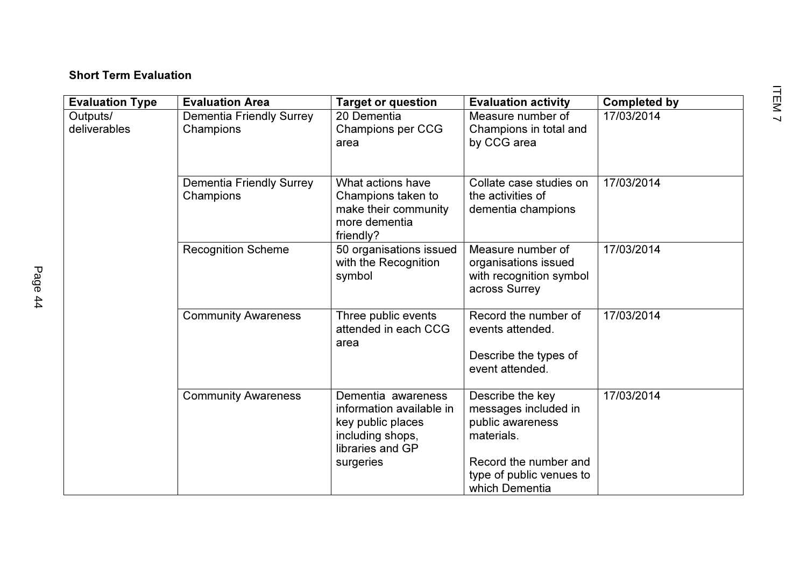## Short Term Evaluation

| <b>Evaluation Area</b>                       | <b>Target or question</b>                                                                                                | <b>Evaluation activity</b>                                                                                                      | <b>Completed by</b> |
|----------------------------------------------|--------------------------------------------------------------------------------------------------------------------------|---------------------------------------------------------------------------------------------------------------------------------|---------------------|
| <b>Dementia Friendly Surrey</b><br>Champions | 20 Dementia<br>Champions per CCG<br>area                                                                                 | Measure number of<br>Champions in total and<br>by CCG area                                                                      | 17/03/2014          |
| Dementia Friendly Surrey<br>Champions        | What actions have<br>Champions taken to<br>make their community<br>more dementia<br>friendly?                            | Collate case studies on<br>the activities of<br>dementia champions                                                              | 17/03/2014          |
| <b>Recognition Scheme</b>                    | 50 organisations issued<br>with the Recognition<br>symbol                                                                | Measure number of<br>organisations issued<br>with recognition symbol<br>across Surrey                                           | 17/03/2014          |
| <b>Community Awareness</b>                   | Three public events<br>attended in each CCG<br>area                                                                      | Record the number of<br>events attended.<br>Describe the types of<br>event attended.                                            | 17/03/2014          |
| <b>Community Awareness</b>                   | Dementia awareness<br>information available in<br>key public places<br>including shops,<br>libraries and GP<br>surgeries | Describe the key<br>messages included in<br>public awareness<br>materials.<br>Record the number and<br>type of public venues to | 17/03/2014          |
|                                              |                                                                                                                          |                                                                                                                                 | which Dementia      |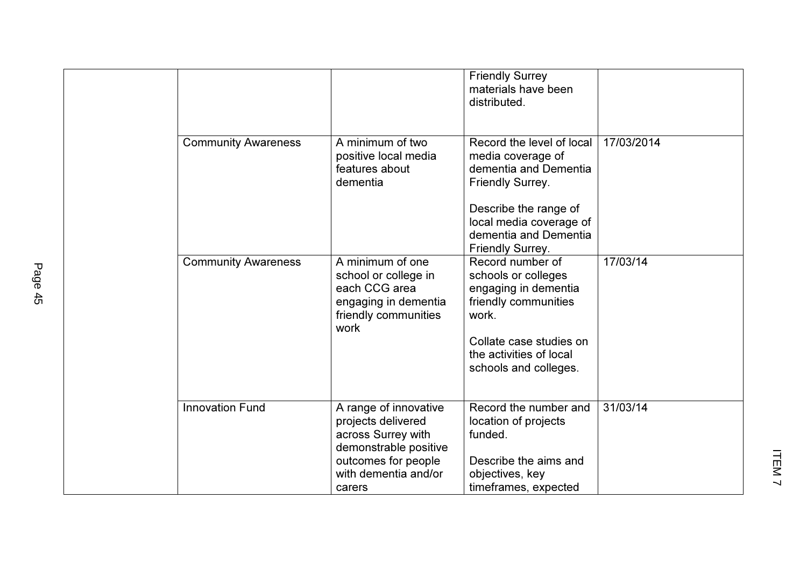|  |                            |                                                                                                                                                     | <b>Friendly Surrey</b><br>materials have been<br>distributed.                                                                                                                                              |            |
|--|----------------------------|-----------------------------------------------------------------------------------------------------------------------------------------------------|------------------------------------------------------------------------------------------------------------------------------------------------------------------------------------------------------------|------------|
|  | <b>Community Awareness</b> | A minimum of two<br>positive local media<br>features about<br>dementia                                                                              | Record the level of local<br>media coverage of<br>dementia and Dementia<br><b>Friendly Surrey.</b><br>Describe the range of<br>local media coverage of<br>dementia and Dementia<br><b>Friendly Surrey.</b> | 17/03/2014 |
|  | <b>Community Awareness</b> | A minimum of one<br>school or college in<br>each CCG area<br>engaging in dementia<br>friendly communities<br>work                                   | Record number of<br>schools or colleges<br>engaging in dementia<br>friendly communities<br>work.<br>Collate case studies on<br>the activities of local<br>schools and colleges.                            | 17/03/14   |
|  | <b>Innovation Fund</b>     | A range of innovative<br>projects delivered<br>across Surrey with<br>demonstrable positive<br>outcomes for people<br>with dementia and/or<br>carers | Record the number and<br>location of projects<br>funded.<br>Describe the aims and<br>objectives, key<br>timeframes, expected                                                                               | 31/03/14   |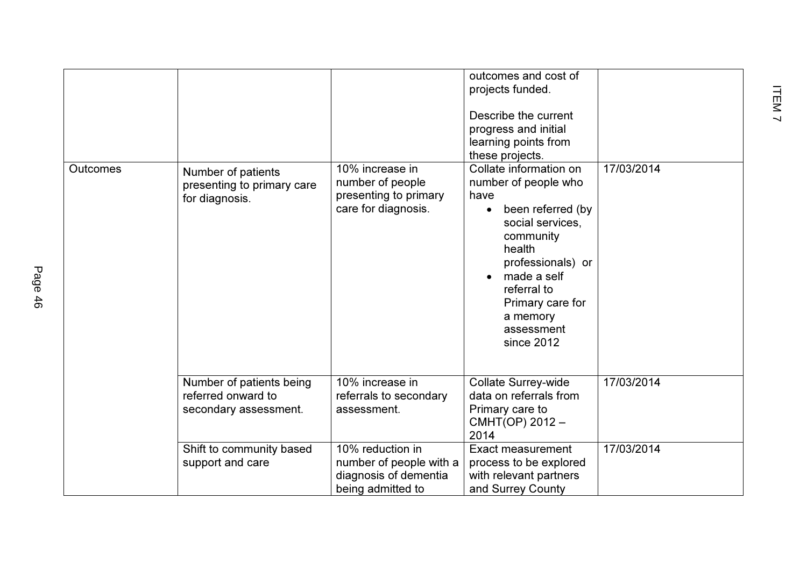|          |                                                                         |                                                                                           | outcomes and cost of<br>projects funded.<br>Describe the current<br>progress and initial<br>learning points from<br>these projects.                                                                                                                |            |
|----------|-------------------------------------------------------------------------|-------------------------------------------------------------------------------------------|----------------------------------------------------------------------------------------------------------------------------------------------------------------------------------------------------------------------------------------------------|------------|
| Outcomes | Number of patients<br>presenting to primary care<br>for diagnosis.      | 10% increase in<br>number of people<br>presenting to primary<br>care for diagnosis.       | Collate information on<br>number of people who<br>have<br>been referred (by<br>$\bullet$<br>social services,<br>community<br>health<br>professionals) or<br>made a self<br>referral to<br>Primary care for<br>a memory<br>assessment<br>since 2012 | 17/03/2014 |
|          | Number of patients being<br>referred onward to<br>secondary assessment. | 10% increase in<br>referrals to secondary<br>assessment.                                  | <b>Collate Surrey-wide</b><br>data on referrals from<br>Primary care to<br>CMHT(OP) 2012 -<br>2014                                                                                                                                                 | 17/03/2014 |
|          | Shift to community based<br>support and care                            | 10% reduction in<br>number of people with a<br>diagnosis of dementia<br>being admitted to | <b>Exact measurement</b><br>process to be explored<br>with relevant partners<br>and Surrey County                                                                                                                                                  | 17/03/2014 |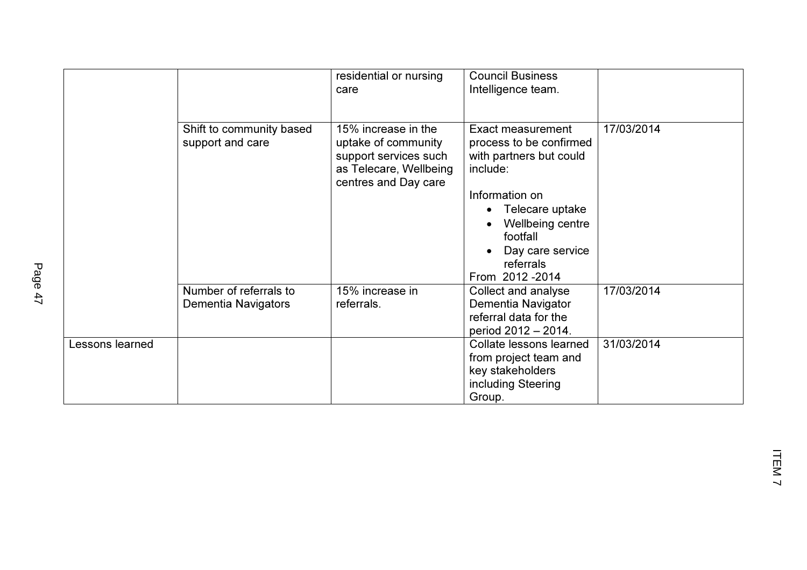|                 |                                               | residential or nursing<br>care                                                                                        | <b>Council Business</b><br>Intelligence team.                                                                                                                                                                      |            |
|-----------------|-----------------------------------------------|-----------------------------------------------------------------------------------------------------------------------|--------------------------------------------------------------------------------------------------------------------------------------------------------------------------------------------------------------------|------------|
|                 | Shift to community based<br>support and care  | 15% increase in the<br>uptake of community<br>support services such<br>as Telecare, Wellbeing<br>centres and Day care | <b>Exact measurement</b><br>process to be confirmed<br>with partners but could<br>include:<br>Information on<br>Telecare uptake<br>Wellbeing centre<br>footfall<br>Day care service<br>referrals<br>From 2012-2014 | 17/03/2014 |
|                 | Number of referrals to<br>Dementia Navigators | 15% increase in<br>referrals.                                                                                         | Collect and analyse<br>Dementia Navigator<br>referral data for the<br>period 2012 - 2014.                                                                                                                          | 17/03/2014 |
| Lessons learned |                                               |                                                                                                                       | Collate lessons learned<br>from project team and<br>key stakeholders<br>including Steering<br>Group.                                                                                                               | 31/03/2014 |